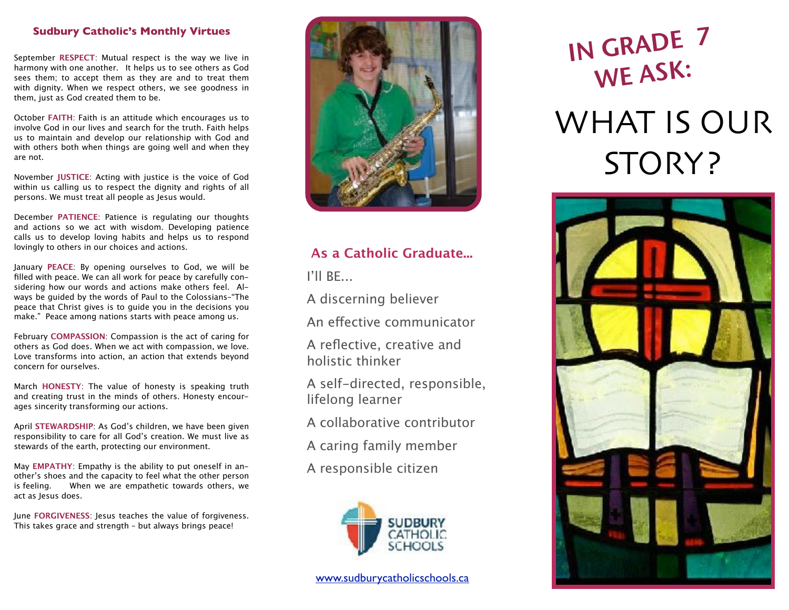### **Sudbury Catholic's Monthly Virtues**

September **RESPECT**: Mutual respect is the way we live in harmony with one another. It helps us to see others as God sees them; to accept them as they are and to treat them with dignity. When we respect others, we see goodness in them, just as God created them to be.

October **FAITH**: Faith is an attitude which encourages us to involve God in our lives and search for the truth. Faith helps us to maintain and develop our relationship with God and with others both when things are going well and when they are not.

November **JUSTICE**: Acting with justice is the voice of God within us calling us to respect the dignity and rights of all persons. We must treat all people as Jesus would.

December **PATIENCE**: Patience is regulating our thoughts and actions so we act with wisdom. Developing patience calls us to develop loving habits and helps us to respond lovingly to others in our choices and actions.

January **PEACE**: By opening ourselves to God, we will be filled with peace. We can all work for peace by carefully considering how our words and actions make others feel. Always be guided by the words of Paul to the Colossians–"The peace that Christ gives is to guide you in the decisions you make." Peace among nations starts with peace among us.

February **COMPASSION**: Compassion is the act of caring for others as God does. When we act with compassion, we love. Love transforms into action, an action that extends beyond concern for ourselves.

March **HONESTY**: The value of honesty is speaking truth and creating trust in the minds of others. Honesty encourages sincerity transforming our actions.

April **STEWARDSHIP**: As God's children, we have been given responsibility to care for all God's creation. We must live as stewards of the earth, protecting our environment.

May **EMPATHY**: Empathy is the ability to put oneself in another's shoes and the capacity to feel what the other person is feeling. When we are empathetic towards others, we act as Jesus does.

June **FORGIVENESS**: Jesus teaches the value of forgiveness. This takes grace and strength – but always brings peace!



# **As a Catholic Graduate...**

I'll BE...

A discerning believer

An efective communicator

A reflective, creative and holistic thinker

A self-directed, responsible, lifelong learner

- A collaborative contributor
- A caring family member
- A responsible citizen



## [www.sudburycatholicschools.ca](http://www.sudburycatholicschools.ca)

# IN GRADE <sup>7</sup> WE ASK: WHAT IS OUR STORY?